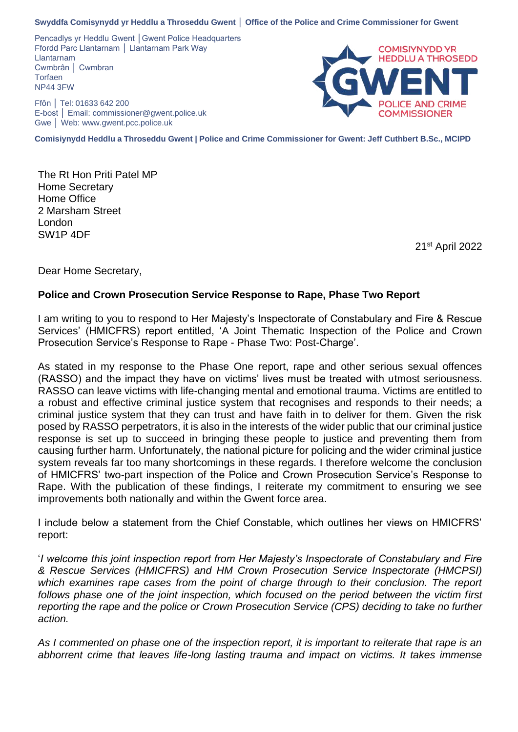Pencadlys yr Heddlu Gwent │Gwent Police Headquarters Ffordd Parc Llantarnam │ Llantarnam Park Way Llantarnam Cwmbrân │ Cwmbran **Torfaen** NP44 3FW

Ffôn │ Tel: 01633 642 200 E-bost │ Email: commissioner@gwent.police.uk Gwe │ Web: www.gwent.pcc.police.uk



**Comisiynydd Heddlu a Throseddu Gwent | Police and Crime Commissioner for Gwent: Jeff Cuthbert B.Sc., MCIPD**

The Rt Hon Priti Patel MP Home Secretary Home Office 2 Marsham Street London SW1P 4DF

21st April 2022

Dear Home Secretary,

# **Police and Crown Prosecution Service Response to Rape, Phase Two Report**

I am writing to you to respond to Her Majesty's Inspectorate of Constabulary and Fire & Rescue Services' (HMICFRS) report entitled, 'A Joint Thematic Inspection of the Police and Crown Prosecution Service's Response to Rape - Phase Two: Post-Charge'.

As stated in my response to the Phase One report, rape and other serious sexual offences (RASSO) and the impact they have on victims' lives must be treated with utmost seriousness. RASSO can leave victims with life-changing mental and emotional trauma. Victims are entitled to a robust and effective criminal justice system that recognises and responds to their needs; a criminal justice system that they can trust and have faith in to deliver for them. Given the risk posed by RASSO perpetrators, it is also in the interests of the wider public that our criminal justice response is set up to succeed in bringing these people to justice and preventing them from causing further harm. Unfortunately, the national picture for policing and the wider criminal justice system reveals far too many shortcomings in these regards. I therefore welcome the conclusion of HMICFRS' two-part inspection of the Police and Crown Prosecution Service's Response to Rape. With the publication of these findings, I reiterate my commitment to ensuring we see improvements both nationally and within the Gwent force area.

I include below a statement from the Chief Constable, which outlines her views on HMICFRS' report:

'*I welcome this joint inspection report from Her Majesty's Inspectorate of Constabulary and Fire & Rescue Services (HMICFRS) and HM Crown Prosecution Service Inspectorate (HMCPSI)*  which examines rape cases from the point of charge through to their conclusion. The report *follows phase one of the joint inspection, which focused on the period between the victim first reporting the rape and the police or Crown Prosecution Service (CPS) deciding to take no further action.* 

*As I commented on phase one of the inspection report, it is important to reiterate that rape is an abhorrent crime that leaves life-long lasting trauma and impact on victims. It takes immense*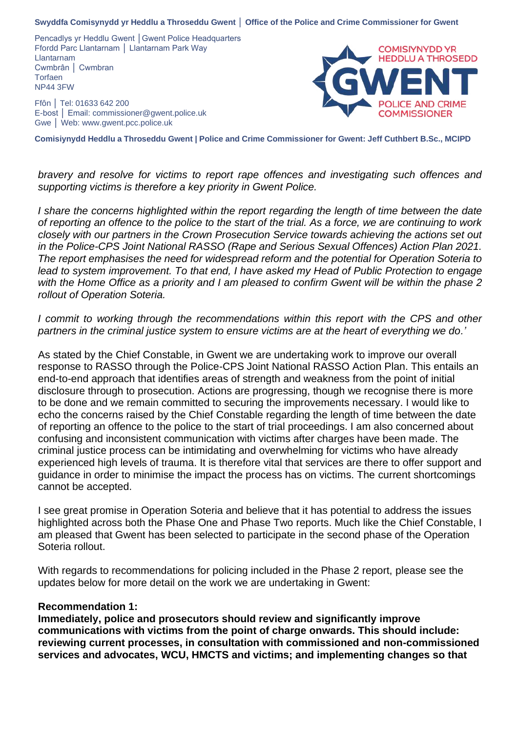Pencadlys yr Heddlu Gwent │Gwent Police Headquarters Ffordd Parc Llantarnam │ Llantarnam Park Way Llantarnam Cwmbrân │ Cwmbran **Torfaen** NP44 3FW

Ffôn │ Tel: 01633 642 200 E-bost │ Email: commissioner@gwent.police.uk Gwe │ Web: www.gwent.pcc.police.uk



**Comisiynydd Heddlu a Throseddu Gwent | Police and Crime Commissioner for Gwent: Jeff Cuthbert B.Sc., MCIPD**

*bravery and resolve for victims to report rape offences and investigating such offences and supporting victims is therefore a key priority in Gwent Police.* 

*I share the concerns highlighted within the report regarding the length of time between the date of reporting an offence to the police to the start of the trial. As a force, we are continuing to work closely with our partners in the Crown Prosecution Service towards achieving the actions set out in the Police-CPS Joint National RASSO (Rape and Serious Sexual Offences) Action Plan 2021. The report emphasises the need for widespread reform and the potential for Operation Soteria to lead to system improvement. To that end, I have asked my Head of Public Protection to engage with the Home Office as a priority and I am pleased to confirm Gwent will be within the phase 2 rollout of Operation Soteria.*

*I* commit to working through the recommendations within this report with the CPS and other *partners in the criminal justice system to ensure victims are at the heart of everything we do.'* 

As stated by the Chief Constable, in Gwent we are undertaking work to improve our overall response to RASSO through the Police-CPS Joint National RASSO Action Plan. This entails an end-to-end approach that identifies areas of strength and weakness from the point of initial disclosure through to prosecution. Actions are progressing, though we recognise there is more to be done and we remain committed to securing the improvements necessary. I would like to echo the concerns raised by the Chief Constable regarding the length of time between the date of reporting an offence to the police to the start of trial proceedings. I am also concerned about confusing and inconsistent communication with victims after charges have been made. The criminal justice process can be intimidating and overwhelming for victims who have already experienced high levels of trauma. It is therefore vital that services are there to offer support and guidance in order to minimise the impact the process has on victims. The current shortcomings cannot be accepted.

I see great promise in Operation Soteria and believe that it has potential to address the issues highlighted across both the Phase One and Phase Two reports. Much like the Chief Constable, I am pleased that Gwent has been selected to participate in the second phase of the Operation Soteria rollout.

With regards to recommendations for policing included in the Phase 2 report, please see the updates below for more detail on the work we are undertaking in Gwent:

# **Recommendation 1:**

**Immediately, police and prosecutors should review and significantly improve communications with victims from the point of charge onwards. This should include: reviewing current processes, in consultation with commissioned and non-commissioned services and advocates, WCU, HMCTS and victims; and implementing changes so that**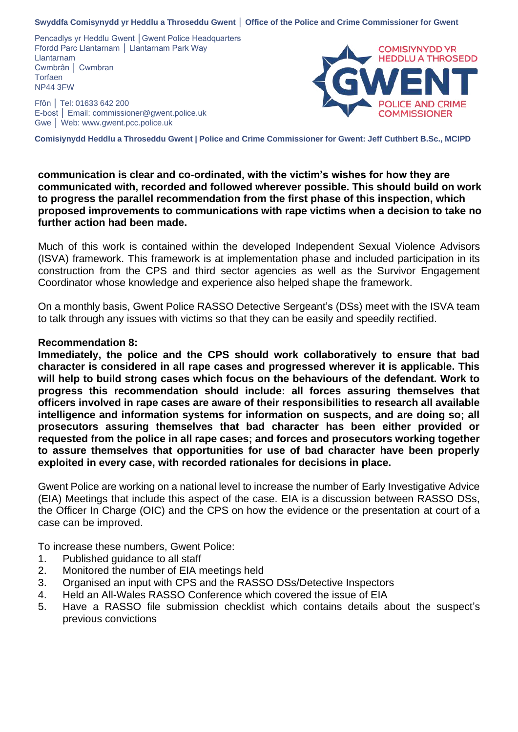Pencadlys yr Heddlu Gwent | Gwent Police Headquarters Ffordd Parc Llantarnam │ Llantarnam Park Way Llantarnam Cwmbrân │ Cwmbran **Torfaen** NP44 3FW

Ffôn │ Tel: 01633 642 200 E-bost │ Email: commissioner@gwent.police.uk Gwe │ Web: www.gwent.pcc.police.uk



**Comisiynydd Heddlu a Throseddu Gwent | Police and Crime Commissioner for Gwent: Jeff Cuthbert B.Sc., MCIPD**

**communication is clear and co-ordinated, with the victim's wishes for how they are communicated with, recorded and followed wherever possible. This should build on work to progress the parallel recommendation from the first phase of this inspection, which proposed improvements to communications with rape victims when a decision to take no further action had been made.**

Much of this work is contained within the developed Independent Sexual Violence Advisors (ISVA) framework. This framework is at implementation phase and included participation in its construction from the CPS and third sector agencies as well as the Survivor Engagement Coordinator whose knowledge and experience also helped shape the framework.

On a monthly basis, Gwent Police RASSO Detective Sergeant's (DSs) meet with the ISVA team to talk through any issues with victims so that they can be easily and speedily rectified.

### **Recommendation 8:**

**Immediately, the police and the CPS should work collaboratively to ensure that bad character is considered in all rape cases and progressed wherever it is applicable. This will help to build strong cases which focus on the behaviours of the defendant. Work to progress this recommendation should include: all forces assuring themselves that officers involved in rape cases are aware of their responsibilities to research all available intelligence and information systems for information on suspects, and are doing so; all prosecutors assuring themselves that bad character has been either provided or requested from the police in all rape cases; and forces and prosecutors working together to assure themselves that opportunities for use of bad character have been properly exploited in every case, with recorded rationales for decisions in place.**

Gwent Police are working on a national level to increase the number of Early Investigative Advice (EIA) Meetings that include this aspect of the case. EIA is a discussion between RASSO DSs, the Officer In Charge (OIC) and the CPS on how the evidence or the presentation at court of a case can be improved.

To increase these numbers, Gwent Police:

- 1. Published guidance to all staff
- 2. Monitored the number of EIA meetings held
- 3. Organised an input with CPS and the RASSO DSs/Detective Inspectors
- 4. Held an All-Wales RASSO Conference which covered the issue of EIA
- 5. Have a RASSO file submission checklist which contains details about the suspect's previous convictions